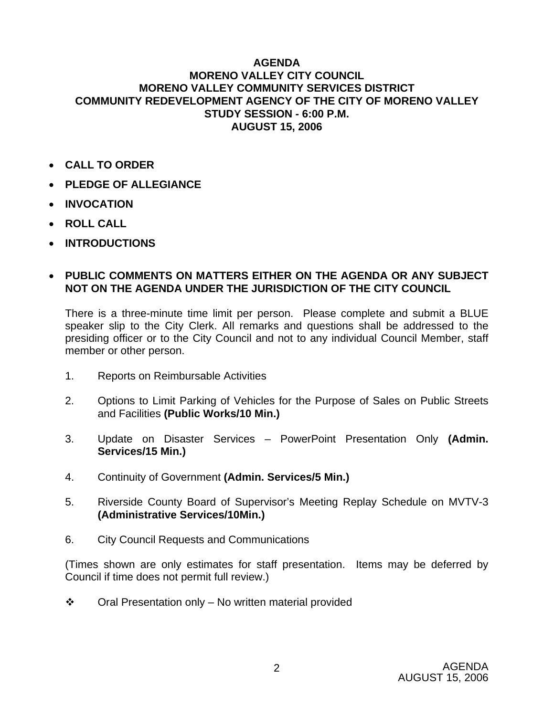## **AGENDA MORENO VALLEY CITY COUNCIL MORENO VALLEY COMMUNITY SERVICES DISTRICT COMMUNITY REDEVELOPMENT AGENCY OF THE CITY OF MORENO VALLEY STUDY SESSION - 6:00 P.M. AUGUST 15, 2006**

- **CALL TO ORDER**
- **PLEDGE OF ALLEGIANCE**
- **INVOCATION**
- **ROLL CALL**
- **INTRODUCTIONS**

## • **PUBLIC COMMENTS ON MATTERS EITHER ON THE AGENDA OR ANY SUBJECT NOT ON THE AGENDA UNDER THE JURISDICTION OF THE CITY COUNCIL**

There is a three-minute time limit per person. Please complete and submit a BLUE speaker slip to the City Clerk. All remarks and questions shall be addressed to the presiding officer or to the City Council and not to any individual Council Member, staff member or other person.

- 1. Reports on Reimbursable Activities
- 2. Options to Limit Parking of Vehicles for the Purpose of Sales on Public Streets and Facilities **(Public Works/10 Min.)**
- 3. Update on Disaster Services PowerPoint Presentation Only **(Admin. Services/15 Min.)**
- 4. Continuity of Government **(Admin. Services/5 Min.)**
- 5. Riverside County Board of Supervisor's Meeting Replay Schedule on MVTV-3 **(Administrative Services/10Min.)**
- 6. City Council Requests and Communications

(Times shown are only estimates for staff presentation. Items may be deferred by Council if time does not permit full review.)

 $\cdot \cdot$  Oral Presentation only – No written material provided